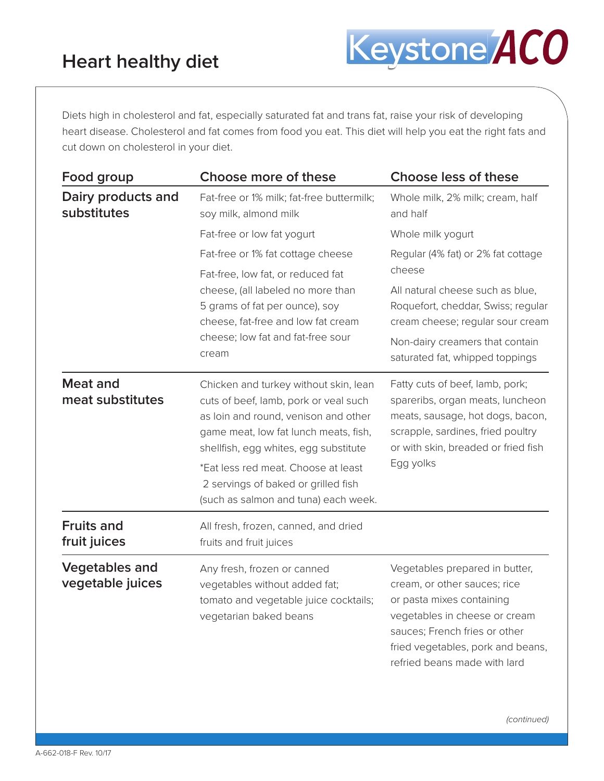Diets high in cholesterol and fat, especially saturated fat and trans fat, raise your risk of developing heart disease. Cholesterol and fat comes from food you eat. This diet will help you eat the right fats and cut down on cholesterol in your diet.

| Food group                                | Choose more of these                                                                                                                                                                                                                                                                                                           | <b>Choose less of these</b>                                                                                                                                                                                                        |
|-------------------------------------------|--------------------------------------------------------------------------------------------------------------------------------------------------------------------------------------------------------------------------------------------------------------------------------------------------------------------------------|------------------------------------------------------------------------------------------------------------------------------------------------------------------------------------------------------------------------------------|
| Dairy products and<br>substitutes         | Fat-free or 1% milk; fat-free buttermilk;<br>soy milk, almond milk                                                                                                                                                                                                                                                             | Whole milk, 2% milk; cream, half<br>and half                                                                                                                                                                                       |
|                                           | Fat-free or low fat yogurt                                                                                                                                                                                                                                                                                                     | Whole milk yogurt                                                                                                                                                                                                                  |
|                                           | Fat-free or 1% fat cottage cheese                                                                                                                                                                                                                                                                                              | Regular (4% fat) or 2% fat cottage                                                                                                                                                                                                 |
|                                           | Fat-free, low fat, or reduced fat<br>cheese, (all labeled no more than<br>5 grams of fat per ounce), soy<br>cheese, fat-free and low fat cream<br>cheese; low fat and fat-free sour<br>cream                                                                                                                                   | cheese<br>All natural cheese such as blue,<br>Roquefort, cheddar, Swiss; regular<br>cream cheese; regular sour cream<br>Non-dairy creamers that contain<br>saturated fat, whipped toppings                                         |
| <b>Meat and</b><br>meat substitutes       | Chicken and turkey without skin, lean<br>cuts of beef, lamb, pork or veal such<br>as loin and round, venison and other<br>game meat, low fat lunch meats, fish,<br>shellfish, egg whites, egg substitute<br>*Eat less red meat. Choose at least<br>2 servings of baked or grilled fish<br>(such as salmon and tuna) each week. | Fatty cuts of beef, lamb, pork;<br>spareribs, organ meats, luncheon<br>meats, sausage, hot dogs, bacon,<br>scrapple, sardines, fried poultry<br>or with skin, breaded or fried fish<br>Egg yolks                                   |
| <b>Fruits and</b><br>fruit juices         | All fresh, frozen, canned, and dried<br>fruits and fruit juices                                                                                                                                                                                                                                                                |                                                                                                                                                                                                                                    |
| <b>Vegetables and</b><br>vegetable juices | Any fresh, frozen or canned<br>vegetables without added fat;<br>tomato and vegetable juice cocktails;<br>vegetarian baked beans                                                                                                                                                                                                | Vegetables prepared in butter,<br>cream, or other sauces; rice<br>or pasta mixes containing<br>vegetables in cheese or cream<br>sauces; French fries or other<br>fried vegetables, pork and beans,<br>refried beans made with lard |

*(continued)*